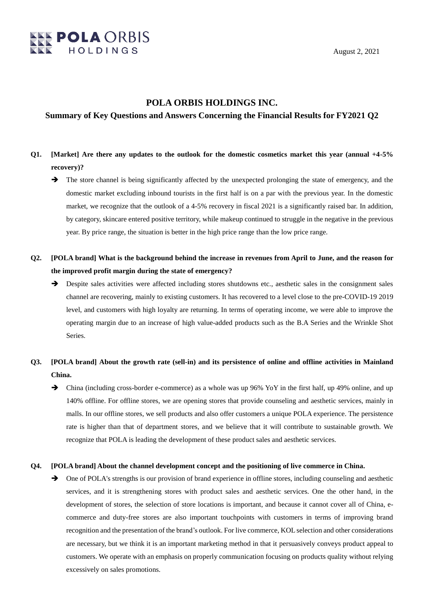

## **POLA ORBIS HOLDINGS INC.**

### **Summary of Key Questions and Answers Concerning the Financial Results for FY2021 Q2**

- **Q1. [Market] Are there any updates to the outlook for the domestic cosmetics market this year (annual +4-5% recovery)?**
	- $\rightarrow$  The store channel is being significantly affected by the unexpected prolonging the state of emergency, and the domestic market excluding inbound tourists in the first half is on a par with the previous year. In the domestic market, we recognize that the outlook of a 4-5% recovery in fiscal 2021 is a significantly raised bar. In addition, by category, skincare entered positive territory, while makeup continued to struggle in the negative in the previous year. By price range, the situation is better in the high price range than the low price range.
- **Q2. [POLA brand] What is the background behind the increase in revenues from April to June, and the reason for the improved profit margin during the state of emergency?**
	- Despite sales activities were affected including stores shutdowns etc., aesthetic sales in the consignment sales channel are recovering, mainly to existing customers. It has recovered to a level close to the pre-COVID-19 2019 level, and customers with high loyalty are returning. In terms of operating income, we were able to improve the operating margin due to an increase of high value-added products such as the B.A Series and the Wrinkle Shot Series.
- **Q3. [POLA brand] About the growth rate (sell-in) and its persistence of online and offline activities in Mainland China.**
	- China (including cross-border e-commerce) as a whole was up 96% YoY in the first half, up 49% online, and up 140% offline. For offline stores, we are opening stores that provide counseling and aesthetic services, mainly in malls. In our offline stores, we sell products and also offer customers a unique POLA experience. The persistence rate is higher than that of department stores, and we believe that it will contribute to sustainable growth. We recognize that POLA is leading the development of these product sales and aesthetic services.

### **Q4. [POLA brand] About the channel development concept and the positioning of live commerce in China.**

 $\rightarrow$  One of POLA's strengths is our provision of brand experience in offline stores, including counseling and aesthetic services, and it is strengthening stores with product sales and aesthetic services. One the other hand, in the development of stores, the selection of store locations is important, and because it cannot cover all of China, ecommerce and duty-free stores are also important touchpoints with customers in terms of improving brand recognition and the presentation of the brand's outlook. For live commerce, KOL selection and other considerations are necessary, but we think it is an important marketing method in that it persuasively conveys product appeal to customers. We operate with an emphasis on properly communication focusing on products quality without relying excessively on sales promotions.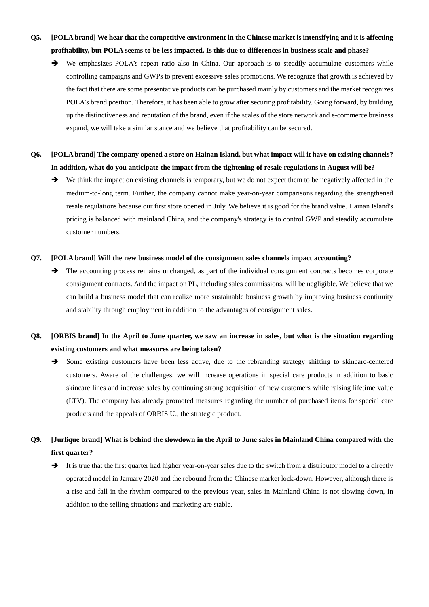- **Q5. [POLA brand] We hear that the competitive environment in the Chinese market is intensifying and it is affecting profitability, but POLA seems to be less impacted. Is this due to differences in business scale and phase?**
	- We emphasizes POLA's repeat ratio also in China. Our approach is to steadily accumulate customers while controlling campaigns and GWPs to prevent excessive sales promotions. We recognize that growth is achieved by the fact that there are some presentative products can be purchased mainly by customers and the market recognizes POLA's brand position. Therefore, it has been able to grow after securing profitability. Going forward, by building up the distinctiveness and reputation of the brand, even if the scales of the store network and e-commerce business expand, we will take a similar stance and we believe that profitability can be secured.
- **Q6. [POLA brand] The company opened a store on Hainan Island, but what impact will it have on existing channels? In addition, what do you anticipate the impact from the tightening of resale regulations in August will be?**
	- $\rightarrow$  We think the impact on existing channels is temporary, but we do not expect them to be negatively affected in the medium-to-long term. Further, the company cannot make year-on-year comparisons regarding the strengthened resale regulations because our first store opened in July. We believe it is good for the brand value. Hainan Island's pricing is balanced with mainland China, and the company's strategy is to control GWP and steadily accumulate customer numbers.

#### **Q7. [POLA brand] Will the new business model of the consignment sales channels impact accounting?**

 $\rightarrow$  The accounting process remains unchanged, as part of the individual consignment contracts becomes corporate consignment contracts. And the impact on PL, including sales commissions, will be negligible. We believe that we can build a business model that can realize more sustainable business growth by improving business continuity and stability through employment in addition to the advantages of consignment sales.

# **Q8. [ORBIS brand] In the April to June quarter, we saw an increase in sales, but what is the situation regarding existing customers and what measures are being taken?**

Some existing customers have been less active, due to the rebranding strategy shifting to skincare-centered customers. Aware of the challenges, we will increase operations in special care products in addition to basic skincare lines and increase sales by continuing strong acquisition of new customers while raising lifetime value (LTV). The company has already promoted measures regarding the number of purchased items for special care products and the appeals of ORBIS U., the strategic product.

# **Q9. [Jurlique brand] What is behind the slowdown in the April to June sales in Mainland China compared with the first quarter?**

 $\rightarrow$  It is true that the first quarter had higher year-on-year sales due to the switch from a distributor model to a directly operated model in January 2020 and the rebound from the Chinese market lock-down. However, although there is a rise and fall in the rhythm compared to the previous year, sales in Mainland China is not slowing down, in addition to the selling situations and marketing are stable.